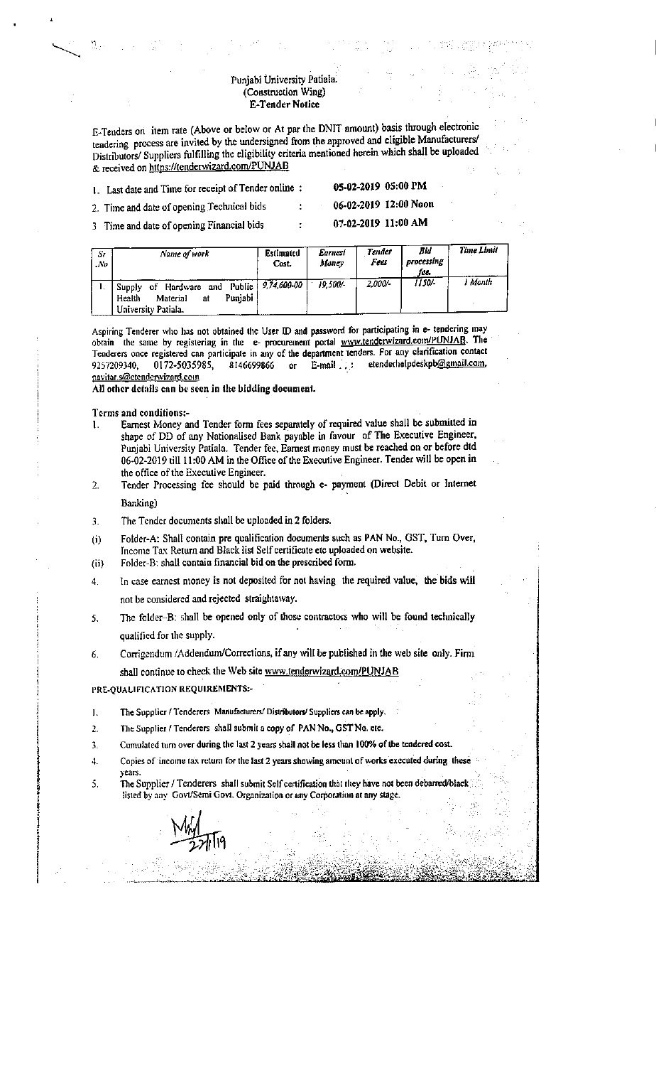## Punjabi University Patiala. (Construction Wing) **E-Tender Notice**

E-Tenders on item rate (Above or below or At par the DNIT amount) basis through electronic tendering process are invited by the undersigned from the approved and eligible Manufacturers/ Distributors/ Suppliers fulfilling the eligibility criteria mentioned herein which shall be uploaded & received on https://tenderwizard.com/PUNJAB

05-02-2019 05:00 PM 1. Last date and Time for receipt of Tender online :

06-02-2019 12:00 Noon

07-02-2019 11:00 AM

2. Time and date of opening Technical bids 3 Time and date of opening Financial bids

| Sr.<br>$N\theta$ | Name of work                                                                                | Estimated<br>Cost. | <b>Earnest</b><br>Money | <b>Tender</b><br>Fees | Bid<br>processing<br>fee. | Time Limit |
|------------------|---------------------------------------------------------------------------------------------|--------------------|-------------------------|-----------------------|---------------------------|------------|
|                  | and Public $9,74,600-00$<br>Hardware<br>Supply<br>οf<br>Puniabi<br>Material<br>Health<br>at |                    | 19.500/-                | 2,000/-               | 1150/-                    | I Month    |

Aspiring Tenderer who has not obtained the User ID and password for participating in e- tendering may obtain the same by registering in the e- procurement portal www.tenderwizard.com/PUNJAB. The Tenderers once registered can participate in any of the department tenders. For any clarification contact etenderhelpdeskpb@gmail.com, 9257209340, 0172-5035985, 8146699866  $\alpha$  $E-mail$ pavitar.s@etenderwizard.com

All other details can be seen in the bidding document.

Terms and conditions:-

- Earnest Money and Tender form fees separately of required value shall be submitted in  $\mathbf{1}$ . shape of DD of any Nationalised Bank payable in favour of The Executive Engineer, Punjabi University Patiala. Tender fee, Earnest money must be reached on or before dtd 06-02-2019 till 11:00 AM in the Office of the Executive Engineer. Tender will be open in the office of the Executive Engineer.
- Tender Processing fee should be paid through e- payment (Direct Debit or Internet  $\mathcal{L}$ Banking)

- The Tender documents shall be uploaded in 2 folders.  $\overline{3}$ .
- Folder-A: Shall contain pre qualification documents such as PAN No., GST, Turn Over,  $(i)$ Income Tax Return and Black list Self certificate etc uploaded on website.
- Folder-B: shall contain financial bid on the prescribed form.  $(ii)$
- In case earnest money is not deposited for not having the required value, the bids will 4. not be considered and rejected straightaway.
- The folder-B: shall be opened only of those contractors who will be found technically 5. qualified for the supply.
- Corrigendum /Addendum/Corrections, if any will be published in the web site only. Firm 6. shall continue to check the Web site www.tenderwizard.com/PUNJAB

PRE-QUALIFICATION REQUIREMENTS:-

years.

- The Supplier / Tenderers Manufacturers/ Distributors/ Suppliers can be apply.  $\mathbf{1}$ .
- The Supplier / Tenderers shall submit a copy of PAN No., GST No. etc.  $\overline{2}$
- Cumulated turn over during the last 2 years shall not be less than 100% of the tendered cost.  $\mathbf{R}$
- 4. Copies of income tax return for the last 2 years showing amount of works executed during these
- The Supplier / Tenderers shall submit Self certification that they have not been debarred/black  $\overline{S}$ listed by any Govt/Semi Govt. Organization or any Corporation at any stage.